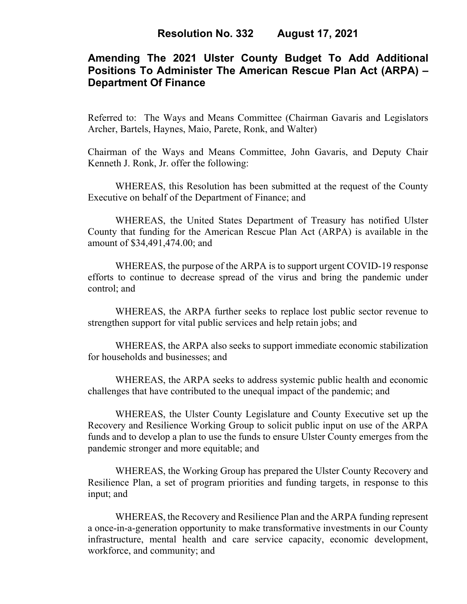# **Amending The 2021 Ulster County Budget To Add Additional Positions To Administer The American Rescue Plan Act (ARPA) – Department Of Finance**

Referred to: The Ways and Means Committee (Chairman Gavaris and Legislators Archer, Bartels, Haynes, Maio, Parete, Ronk, and Walter)

Chairman of the Ways and Means Committee, John Gavaris, and Deputy Chair Kenneth J. Ronk, Jr. offer the following:

WHEREAS, this Resolution has been submitted at the request of the County Executive on behalf of the Department of Finance; and

WHEREAS, the United States Department of Treasury has notified Ulster County that funding for the American Rescue Plan Act (ARPA) is available in the amount of \$34,491,474.00; and

WHEREAS, the purpose of the ARPA is to support urgent COVID-19 response efforts to continue to decrease spread of the virus and bring the pandemic under control; and

WHEREAS, the ARPA further seeks to replace lost public sector revenue to strengthen support for vital public services and help retain jobs; and

WHEREAS, the ARPA also seeks to support immediate economic stabilization for households and businesses; and

WHEREAS, the ARPA seeks to address systemic public health and economic challenges that have contributed to the unequal impact of the pandemic; and

WHEREAS, the Ulster County Legislature and County Executive set up the Recovery and Resilience Working Group to solicit public input on use of the ARPA funds and to develop a plan to use the funds to ensure Ulster County emerges from the pandemic stronger and more equitable; and

WHEREAS, the Working Group has prepared the Ulster County Recovery and Resilience Plan, a set of program priorities and funding targets, in response to this input; and

WHEREAS, the Recovery and Resilience Plan and the ARPA funding represent a once-in-a-generation opportunity to make transformative investments in our County infrastructure, mental health and care service capacity, economic development, workforce, and community; and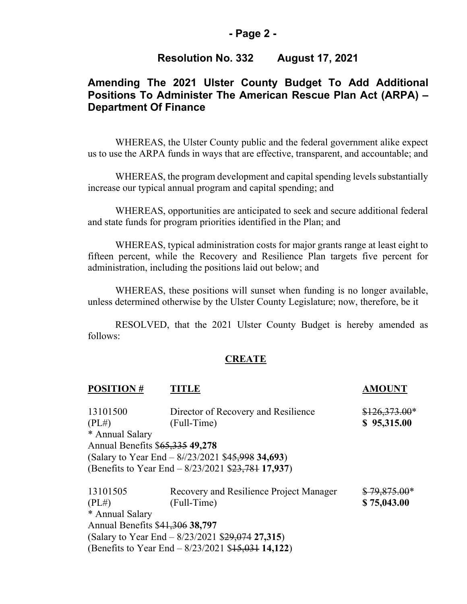### **- Page 2 -**

### **Resolution No. 332 August 17, 2021**

# **Amending The 2021 Ulster County Budget To Add Additional Positions To Administer The American Rescue Plan Act (ARPA) – Department Of Finance**

WHEREAS, the Ulster County public and the federal government alike expect us to use the ARPA funds in ways that are effective, transparent, and accountable; and

WHEREAS, the program development and capital spending levels substantially increase our typical annual program and capital spending; and

WHEREAS, opportunities are anticipated to seek and secure additional federal and state funds for program priorities identified in the Plan; and

WHEREAS, typical administration costs for major grants range at least eight to fifteen percent, while the Recovery and Resilience Plan targets five percent for administration, including the positions laid out below; and

WHEREAS, these positions will sunset when funding is no longer available, unless determined otherwise by the Ulster County Legislature; now, therefore, be it

RESOLVED, that the 2021 Ulster County Budget is hereby amended as follows:

#### **CREATE**

| <b>POSITION#</b>                | FITLE                                                | <b>AMOUNT</b>  |
|---------------------------------|------------------------------------------------------|----------------|
| 13101500                        | Director of Recovery and Resilience                  | $$126,373.00*$ |
| (PL#)                           | (Full-Time)                                          | \$95,315.00    |
| * Annual Salary                 |                                                      |                |
| Annual Benefits \$65,335 49,278 |                                                      |                |
|                                 | (Salary to Year End $-$ 8/23/2021 \$45,998 34,693)   |                |
|                                 | (Benefits to Year End – 8/23/2021 \$23,781 17,937)   |                |
| 13101505                        | Recovery and Resilience Project Manager              | $$79,875.00*$  |
| (PL#)                           | (Full-Time)                                          | \$75,043.00    |
| * Annual Salary                 |                                                      |                |
| Annual Benefits \$41,306 38,797 |                                                      |                |
|                                 | (Salary to Year End $-8/23/2021$ \$29,074 27,315)    |                |
|                                 | (Benefits to Year End $-$ 8/23/2021 \$15,031 14,122) |                |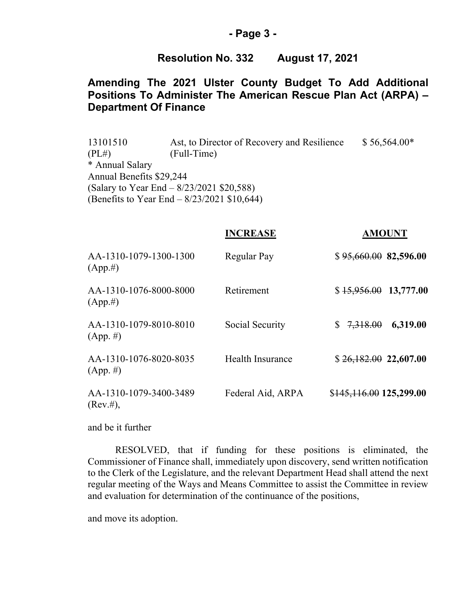#### **- Page 3 -**

### **Resolution No. 332 August 17, 2021**

## **Amending The 2021 Ulster County Budget To Add Additional Positions To Administer The American Rescue Plan Act (ARPA) – Department Of Finance**

13101510 Ast, to Director of Recovery and Resilience  $$56,564.00*$  $(PL#)$   $(Hull-Time)$ \* Annual Salary Annual Benefits \$29,244 (Salary to Year End – 8/23/2021 \$20,588) (Benefits to Year End – 8/23/2021 \$10,644)

|                                       | <b>INCREASE</b>   | <b>AMOUNT</b>            |
|---------------------------------------|-------------------|--------------------------|
| AA-1310-1079-1300-1300<br>$(App. \#)$ | Regular Pay       | \$95,660.0082,596.00     |
| AA-1310-1076-8000-8000<br>$(App. \#)$ | Retirement        | $$15,956.00$ 13,777.00   |
| AA-1310-1079-8010-8010<br>$(App. \#)$ | Social Security   | 6,319.00<br>\$7,318.00   |
| AA-1310-1076-8020-8035<br>$(App. \#)$ | Health Insurance  | $$26,182.00$ 22,607.00   |
| AA-1310-1079-3400-3489<br>(Rev. #),   | Federal Aid, ARPA | $$145,116.00$ 125,299.00 |

and be it further

RESOLVED, that if funding for these positions is eliminated, the Commissioner of Finance shall, immediately upon discovery, send written notification to the Clerk of the Legislature, and the relevant Department Head shall attend the next regular meeting of the Ways and Means Committee to assist the Committee in review and evaluation for determination of the continuance of the positions,

and move its adoption.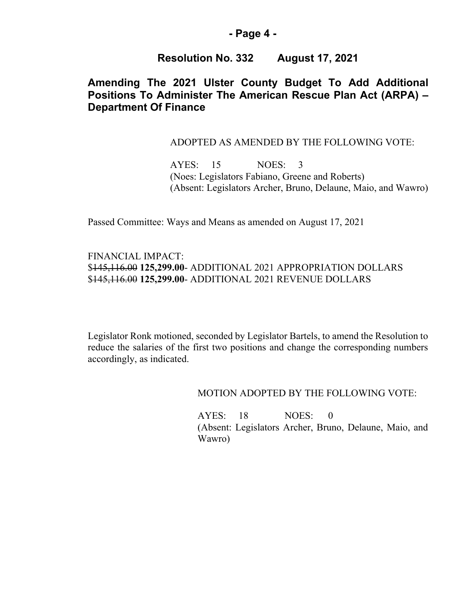### **- Page 4 -**

## **Resolution No. 332 August 17, 2021**

# **Amending The 2021 Ulster County Budget To Add Additional Positions To Administer The American Rescue Plan Act (ARPA) – Department Of Finance**

#### ADOPTED AS AMENDED BY THE FOLLOWING VOTE:

AYES: 15 NOES: 3 (Noes: Legislators Fabiano, Greene and Roberts) (Absent: Legislators Archer, Bruno, Delaune, Maio, and Wawro)

Passed Committee: Ways and Means as amended on August 17, 2021

FINANCIAL IMPACT: \$145,116.00 **125,299.00**- ADDITIONAL 2021 APPROPRIATION DOLLARS \$145,116.00 **125,299.00**- ADDITIONAL 2021 REVENUE DOLLARS

Legislator Ronk motioned, seconded by Legislator Bartels, to amend the Resolution to reduce the salaries of the first two positions and change the corresponding numbers accordingly, as indicated.

MOTION ADOPTED BY THE FOLLOWING VOTE:

AYES: 18 NOES: 0 (Absent: Legislators Archer, Bruno, Delaune, Maio, and Wawro)